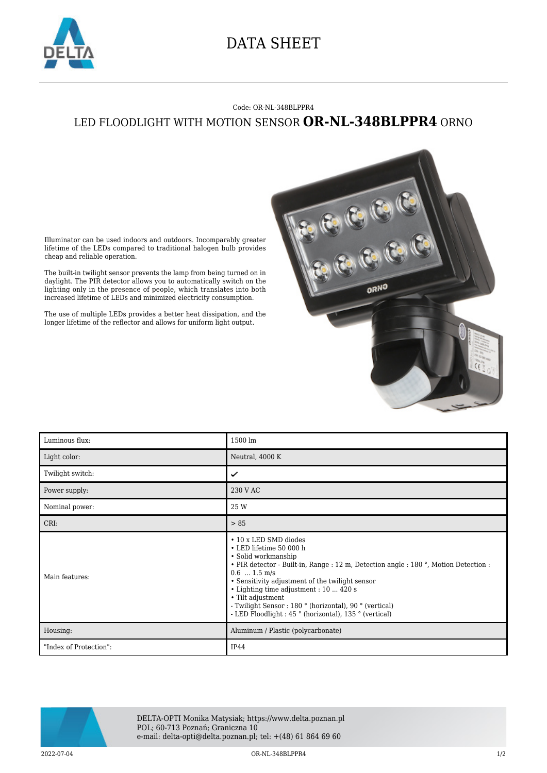

## DATA SHEET

## Code: OR-NL-348BLPPR4 LED FLOODLIGHT WITH MOTION SENSOR **OR-NL-348BLPPR4** ORNO



Illuminator can be used indoors and outdoors. Incomparably greater lifetime of the LEDs compared to traditional halogen bulb provides cheap and reliable operation.

The built-in twilight sensor prevents the lamp from being turned on in daylight. The PIR detector allows you to automatically switch on the lighting only in the presence of people, which translates into both increased lifetime of LEDs and minimized electricity consumption.

The use of multiple LEDs provides a better heat dissipation, and the longer lifetime of the reflector and allows for uniform light output.

| Luminous flux:         | 1500 lm                                                                                                                                                                                                                                                                                                                                                                                                                   |
|------------------------|---------------------------------------------------------------------------------------------------------------------------------------------------------------------------------------------------------------------------------------------------------------------------------------------------------------------------------------------------------------------------------------------------------------------------|
| Light color:           | Neutral, 4000 K                                                                                                                                                                                                                                                                                                                                                                                                           |
| Twilight switch:       | ✓                                                                                                                                                                                                                                                                                                                                                                                                                         |
| Power supply:          | 230 V AC                                                                                                                                                                                                                                                                                                                                                                                                                  |
| Nominal power:         | 25 W                                                                                                                                                                                                                                                                                                                                                                                                                      |
| CRI:                   | > 85                                                                                                                                                                                                                                                                                                                                                                                                                      |
| Main features:         | • 10 x LED SMD diodes<br>• LED lifetime 50 000 h<br>• Solid workmanship<br>• PIR detector - Built-in, Range : 12 m, Detection angle : 180 °, Motion Detection :<br>$0.6$ $1.5$ m/s<br>• Sensitivity adjustment of the twilight sensor<br>• Lighting time adjustment : 10  420 s<br>• Tilt adjustment<br>- Twilight Sensor : 180 ° (horizontal), 90 ° (vertical)<br>- LED Floodlight : 45 ° (horizontal), 135 ° (vertical) |
| Housing:               | Aluminum / Plastic (polycarbonate)                                                                                                                                                                                                                                                                                                                                                                                        |
| "Index of Protection": | IP44                                                                                                                                                                                                                                                                                                                                                                                                                      |



DELTA-OPTI Monika Matysiak; https://www.delta.poznan.pl POL; 60-713 Poznań; Graniczna 10 e-mail: delta-opti@delta.poznan.pl; tel: +(48) 61 864 69 60